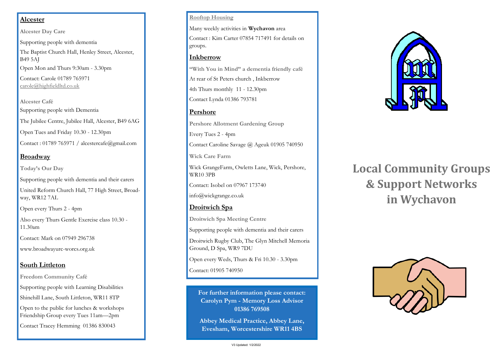## **Alcester**

**Alcester Day Care**

Supporting people with dementia The Baptist Church Hall, Henley Street, Alcester, B49 5AJ Open Mon and Thurs 9:30am - 3.30pm Contact: Carole 01789 765971 [carole@highfieldltd.co.uk](mailto:carole@highfieldltd.co.uk)

**Alcester Café** Supporting people with Dementia The Jubilee Centre, Jubilee Hall, Alcester, B49 6AG Open Tues and Friday 10.30 - 12.30pm Contact : 01789 765971 / alcestercafe@gmail.com

## **Broadway**

**Today's Our Day**

Supporting people with dementia and their carers

United Reform Church Hall, 77 High Street, Broadway, WR12 7AL

Open every Thurs 2 - 4pm

Also every Thurs Gentle Exercise class 10.30 - 11.30am

Contact: Mark on 07949 296738

www.broadwayurc-worcs.org.uk

## **South Littleton**

**Freedom Community Café** Supporting people with Learning Disabilities Shinehill Lane, South Littleton, WR11 8TP Open to the public for lunches & workshops Friendship Group every Tues 11am—2pm Contact Tracey Hemming 01386 830043

#### **Rooftop Housing**

Many weekly activities in **Wychavon** area Contact : Kim Carter 07854 717491 for details on groups.

#### **Inkberrow**

**"With You in Mind" a dementia friendly café** At rear of St Peters church , Inkberrow 4th Thurs monthly 11 - 12.30pm Contact Lynda 01386 793781

## **Pershore**

**Pershore Allotment Gardening Group** Every Tues 2 - 4pm Contact Caroline Savage @ Ageuk 01905 740950 **Wick Care Farm** Wick GrangeFarm, Owletts Lane, Wick, Pershore,

WR10 3PB

Contact: Isobel on 07967 173740

info@wickgrange.co.uk

## **Droitwich Spa**

**Droitwich Spa Meeting Centre**

Supporting people with dementia and their carers

Droitwich Rugby Club, The Glyn Mitchell Memoria Ground, D Spa, WR9 7DU

Open every Weds, Thurs & Fri 10.30 - 3.30pm

Contact: 01905 740950

**For further information please contact: Carolyn Pym - Memory Loss Advisor 01386 769508**

**Abbey Medical Practice, Abbey Lane, Evesham, Worcestershire WR11 4BS**



# **Local Community Groups & Support Networks in Wychavon**